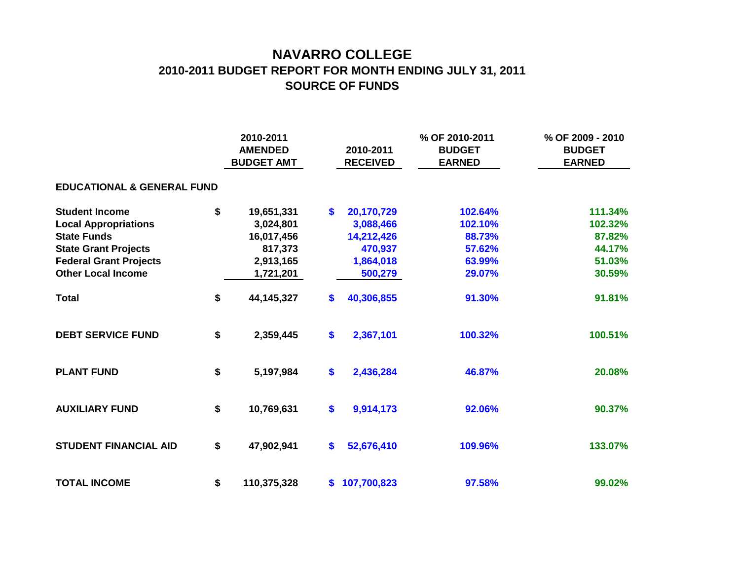## **NAVARRO COLLEGE 2010-2011 BUDGET REPORT FOR MONTH ENDING JULY 31, 2011 SOURCE OF FUNDS**

|                                       |    | 2010-2011<br><b>AMENDED</b><br><b>BUDGET AMT</b> |                   | 2010-2011<br><b>RECEIVED</b> | % OF 2010-2011<br><b>BUDGET</b><br><b>EARNED</b> | % OF 2009 - 2010<br><b>BUDGET</b><br><b>EARNED</b> |  |
|---------------------------------------|----|--------------------------------------------------|-------------------|------------------------------|--------------------------------------------------|----------------------------------------------------|--|
| <b>EDUCATIONAL &amp; GENERAL FUND</b> |    |                                                  |                   |                              |                                                  |                                                    |  |
| <b>Student Income</b>                 | \$ | 19,651,331                                       | \$                | 20,170,729                   | 102.64%                                          | 111.34%                                            |  |
| <b>Local Appropriations</b>           |    | 3,024,801                                        |                   | 3,088,466                    | 102.10%                                          | 102.32%                                            |  |
| <b>State Funds</b>                    |    | 16,017,456                                       |                   | 14,212,426                   | 88.73%                                           | 87.82%                                             |  |
| <b>State Grant Projects</b>           |    | 817,373                                          |                   | 470,937                      | 57.62%                                           | 44.17%                                             |  |
| <b>Federal Grant Projects</b>         |    | 2,913,165                                        |                   | 1,864,018                    | 63.99%                                           | 51.03%                                             |  |
| <b>Other Local Income</b>             |    | 1,721,201                                        |                   | 500,279                      | 29.07%                                           | 30.59%                                             |  |
| <b>Total</b>                          | \$ | 44, 145, 327                                     | S.                | 40,306,855                   | 91.30%                                           | 91.81%                                             |  |
| <b>DEBT SERVICE FUND</b>              | \$ | 2,359,445                                        | \$                | 2,367,101                    | 100.32%                                          | 100.51%                                            |  |
| <b>PLANT FUND</b>                     | \$ | 5,197,984                                        | $\boldsymbol{\$}$ | 2,436,284                    | 46.87%                                           | 20.08%                                             |  |
| <b>AUXILIARY FUND</b>                 | \$ | 10,769,631                                       | \$                | 9,914,173                    | 92.06%                                           | 90.37%                                             |  |
| <b>STUDENT FINANCIAL AID</b>          | \$ | 47,902,941                                       | \$                | 52,676,410                   | 109.96%                                          | 133.07%                                            |  |
| <b>TOTAL INCOME</b>                   | \$ | 110,375,328                                      | S.                | 107,700,823                  | 97.58%                                           | 99.02%                                             |  |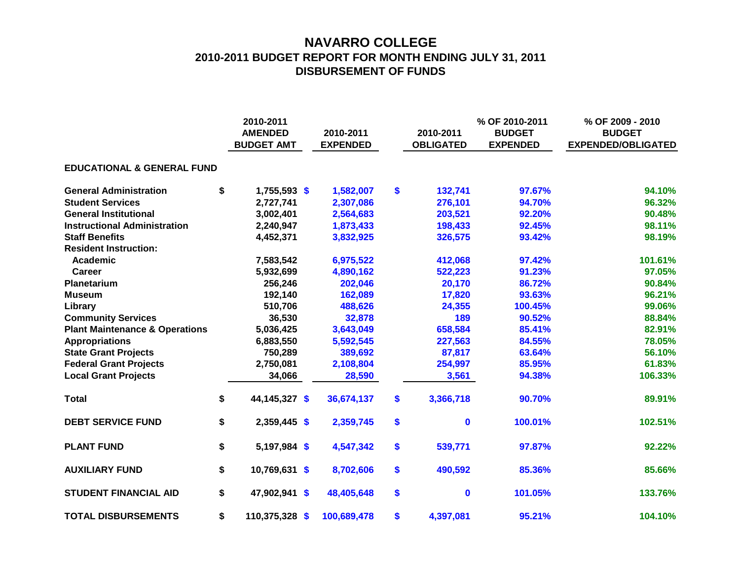# **NAVARRO COLLEGE 2010-2011 BUDGET REPORT FOR MONTH ENDING JULY 31, 2011 DISBURSEMENT OF FUNDS**

|                                           | 2010-2011<br><b>AMENDED</b><br><b>BUDGET AMT</b> | 2010-2011<br><b>EXPENDED</b> | 2010-2011<br><b>OBLIGATED</b> | % OF 2010-2011<br><b>BUDGET</b><br><b>EXPENDED</b> | % OF 2009 - 2010<br><b>BUDGET</b><br><b>EXPENDED/OBLIGATED</b> |
|-------------------------------------------|--------------------------------------------------|------------------------------|-------------------------------|----------------------------------------------------|----------------------------------------------------------------|
| <b>EDUCATIONAL &amp; GENERAL FUND</b>     |                                                  |                              |                               |                                                    |                                                                |
| <b>General Administration</b>             | \$<br>$1,755,593$ \$                             | 1,582,007                    | \$<br>132,741                 | 97.67%                                             | 94.10%                                                         |
| <b>Student Services</b>                   | 2,727,741                                        | 2,307,086                    | 276,101                       | 94.70%                                             | 96.32%                                                         |
| <b>General Institutional</b>              | 3,002,401                                        | 2,564,683                    | 203,521                       | 92.20%                                             | 90.48%                                                         |
| <b>Instructional Administration</b>       | 2,240,947                                        | 1,873,433                    | 198,433                       | 92.45%                                             | 98.11%                                                         |
| <b>Staff Benefits</b>                     | 4,452,371                                        | 3,832,925                    | 326,575                       | 93.42%                                             | 98.19%                                                         |
| <b>Resident Instruction:</b>              |                                                  |                              |                               |                                                    |                                                                |
| Academic                                  | 7,583,542                                        | 6,975,522                    | 412,068                       | 97.42%                                             | 101.61%                                                        |
| Career                                    | 5,932,699                                        | 4,890,162                    | 522,223                       | 91.23%                                             | 97.05%                                                         |
| <b>Planetarium</b>                        | 256,246                                          | 202,046                      | 20,170                        | 86.72%                                             | 90.84%                                                         |
| <b>Museum</b>                             | 192,140                                          | 162,089                      | 17,820                        | 93.63%                                             | 96.21%                                                         |
| Library                                   | 510,706                                          | 488,626                      | 24,355                        | 100.45%                                            | 99.06%                                                         |
| <b>Community Services</b>                 | 36,530                                           | 32,878                       | 189                           | 90.52%                                             | 88.84%                                                         |
| <b>Plant Maintenance &amp; Operations</b> | 5,036,425                                        | 3,643,049                    | 658,584                       | 85.41%                                             | 82.91%                                                         |
| <b>Appropriations</b>                     | 6,883,550                                        | 5,592,545                    | 227,563                       | 84.55%                                             | 78.05%                                                         |
| <b>State Grant Projects</b>               | 750,289                                          | 389,692                      | 87,817                        | 63.64%                                             | 56.10%                                                         |
| <b>Federal Grant Projects</b>             | 2,750,081                                        | 2,108,804                    | 254,997                       | 85.95%                                             | 61.83%                                                         |
| <b>Local Grant Projects</b>               | 34,066                                           | 28,590                       | 3,561                         | 94.38%                                             | 106.33%                                                        |
| <b>Total</b>                              | \$<br>44,145,327 \$                              | 36,674,137                   | \$<br>3,366,718               | 90.70%                                             | 89.91%                                                         |
| <b>DEBT SERVICE FUND</b>                  | \$<br>2,359,445 \$                               | 2,359,745                    | \$<br>$\mathbf{0}$            | 100.01%                                            | 102.51%                                                        |
| <b>PLANT FUND</b>                         | \$<br>5,197,984 \$                               | 4,547,342                    | \$<br>539,771                 | 97.87%                                             | 92.22%                                                         |
| <b>AUXILIARY FUND</b>                     | \$<br>10,769,631 \$                              | 8,702,606                    | \$<br>490,592                 | 85.36%                                             | 85.66%                                                         |
| <b>STUDENT FINANCIAL AID</b>              | \$<br>47,902,941 \$                              | 48,405,648                   | \$<br>$\mathbf 0$             | 101.05%                                            | 133.76%                                                        |
| <b>TOTAL DISBURSEMENTS</b>                | \$<br>110,375,328 \$                             | 100,689,478                  | \$<br>4,397,081               | 95.21%                                             | 104.10%                                                        |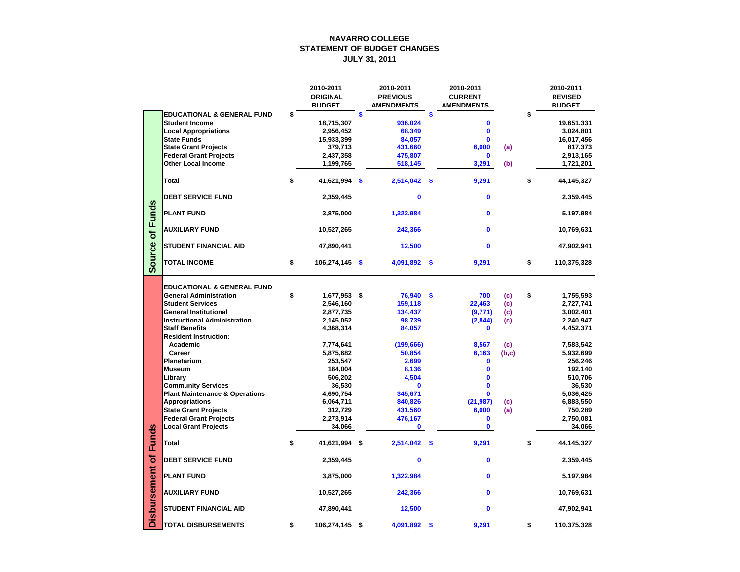# **NAVARRO COLLEGE STATEMENT OF BUDGET CHANGES JULY 31, 2011**

|                     |                                           | 2010-2011<br><b>ORIGINAL</b><br><b>BUDGET</b> | 2010-2011<br><b>PREVIOUS</b><br><b>AMENDMENTS</b> |                           | 2010-2011<br><b>CURRENT</b><br><b>AMENDMENTS</b> |       | 2010-2011<br><b>REVISED</b><br><b>BUDGET</b> |
|---------------------|-------------------------------------------|-----------------------------------------------|---------------------------------------------------|---------------------------|--------------------------------------------------|-------|----------------------------------------------|
|                     | <b>EDUCATIONAL &amp; GENERAL FUND</b>     | \$                                            | \$                                                | \$                        |                                                  |       | \$                                           |
|                     | <b>Student Income</b>                     | 18,715,307                                    | 936,024                                           |                           | 0                                                |       | 19,651,331                                   |
|                     | <b>Local Appropriations</b>               | 2,956,452                                     | 68,349                                            |                           | $\mathbf 0$                                      |       | 3,024,801                                    |
|                     | <b>State Funds</b>                        | 15,933,399                                    | 84,057                                            |                           | $\bf{0}$                                         |       | 16,017,456                                   |
|                     | <b>State Grant Projects</b>               | 379,713                                       | 431,660                                           |                           | 6,000                                            | (a)   | 817,373                                      |
|                     | <b>Federal Grant Projects</b>             | 2,437,358                                     | 475,807                                           |                           | $\mathbf 0$                                      |       | 2,913,165                                    |
|                     | <b>Other Local Income</b>                 | 1,199,765                                     | 518,145                                           |                           | 3,291                                            | (b)   | 1,721,201                                    |
|                     |                                           |                                               |                                                   |                           |                                                  |       |                                              |
|                     | <b>Total</b>                              | \$<br>41,621,994 \$                           | 2,514,042 \$                                      |                           | 9,291                                            |       | \$<br>44, 145, 327                           |
|                     | <b>DEBT SERVICE FUND</b>                  | 2,359,445                                     | $\mathbf 0$                                       |                           | $\mathbf 0$                                      |       | 2,359,445                                    |
| unds                | <b>PLANT FUND</b>                         | 3,875,000                                     | 1,322,984                                         |                           | $\mathbf 0$                                      |       | 5,197,984                                    |
| Щ<br>$\delta$       | <b>AUXILIARY FUND</b>                     | 10,527,265                                    | 242,366                                           |                           | $\mathbf 0$                                      |       | 10,769,631                                   |
|                     | <b>STUDENT FINANCIAL AID</b>              | 47,890,441                                    | 12,500                                            |                           | $\mathbf{0}$                                     |       | 47,902,941                                   |
| Source              | <b>TOTAL INCOME</b>                       | \$<br>$106,274,145$ \$                        | 4,091,892 \$                                      |                           | 9,291                                            |       | \$<br>110,375,328                            |
|                     |                                           |                                               |                                                   |                           |                                                  |       |                                              |
|                     | <b>EDUCATIONAL &amp; GENERAL FUND</b>     |                                               |                                                   |                           |                                                  |       |                                              |
|                     | <b>General Administration</b>             | \$<br>1,677,953 \$                            | 76,940 \$                                         |                           | 700                                              | (c)   | \$<br>1,755,593                              |
|                     | <b>Student Services</b>                   | 2,546,160                                     | 159,118                                           |                           | 22,463                                           | (c)   | 2,727,741                                    |
|                     | <b>General Institutional</b>              | 2,877,735                                     | 134,437                                           |                           | (9, 771)                                         | (c)   | 3,002,401                                    |
|                     | <b>Instructional Administration</b>       | 2,145,052                                     | 98,739                                            |                           | (2,844)                                          | (c)   | 2,240,947                                    |
|                     | <b>Staff Benefits</b>                     | 4,368,314                                     | 84,057                                            |                           | $\bf{0}$                                         |       | 4,452,371                                    |
|                     | <b>Resident Instruction:</b>              |                                               |                                                   |                           |                                                  |       |                                              |
|                     | <b>Academic</b>                           | 7,774,641                                     | (199, 666)                                        |                           | 8,567                                            | (c)   | 7,583,542                                    |
|                     | <b>Career</b>                             | 5,875,682                                     | 50,854                                            |                           | 6,163                                            | (b,c) | 5,932,699                                    |
|                     | Planetarium                               | 253,547                                       | 2,699                                             |                           | $\mathbf 0$                                      |       | 256,246                                      |
|                     | <b>Museum</b>                             | 184,004                                       | 8,136                                             |                           |                                                  |       | 192,140                                      |
|                     | Library                                   | 506,202                                       | 4,504                                             |                           | $\mathbf 0$                                      |       | 510,706                                      |
|                     | <b>Community Services</b>                 | 36,530                                        | $\mathbf 0$                                       |                           | $\mathbf 0$                                      |       | 36,530                                       |
|                     | <b>Plant Maintenance &amp; Operations</b> | 4,690,754                                     | 345,671                                           |                           | 0                                                |       | 5,036,425                                    |
|                     | <b>Appropriations</b>                     | 6,064,711                                     | 840,826                                           |                           | (21, 987)                                        | (c)   | 6,883,550                                    |
|                     | <b>State Grant Projects</b>               | 312,729                                       | 431,560                                           |                           | 6,000                                            | (a)   | 750,289                                      |
|                     | <b>Federal Grant Projects</b>             |                                               | 476,167                                           |                           | $\mathbf 0$                                      |       |                                              |
|                     | <b>Local Grant Projects</b>               | 2,273,914                                     |                                                   |                           |                                                  |       | 2,750,081                                    |
|                     |                                           | 34,066                                        | $\mathbf 0$                                       |                           | $\bf{0}$                                         |       | 34,066                                       |
| <b>Funds</b>        | <b>Total</b>                              | \$<br>41,621,994 \$                           | 2,514,042                                         | $\boldsymbol{\mathsf{s}}$ | 9,291                                            |       | \$<br>44, 145, 327                           |
| $\delta$            | <b>DEBT SERVICE FUND</b>                  | 2,359,445                                     | $\mathbf 0$                                       |                           | $\mathbf 0$                                      |       | 2,359,445                                    |
|                     | <b>PLANT FUND</b>                         | 3,875,000                                     | 1,322,984                                         |                           | $\mathbf 0$                                      |       | 5,197,984                                    |
| <b>Disbursement</b> | <b>AUXILIARY FUND</b>                     | 10,527,265                                    | 242,366                                           |                           | $\mathbf 0$                                      |       | 10,769,631                                   |
|                     | <b>STUDENT FINANCIAL AID</b>              | 47,890,441                                    | 12,500                                            |                           | $\mathbf 0$                                      |       | 47,902,941                                   |
|                     | <b>TOTAL DISBURSEMENTS</b>                | \$<br>106,274,145 \$                          | 4,091,892 \$                                      |                           | 9,291                                            |       | \$<br>110,375,328                            |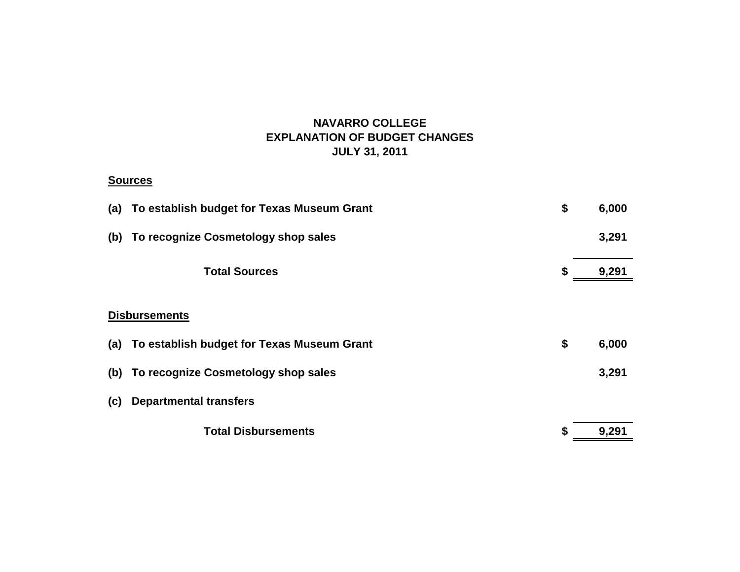# **NAVARRO COLLEGE EXPLANATION OF BUDGET CHANGES JULY 31, 2011**

### **Sources**

|     | \$<br>(a) To establish budget for Texas Museum Grant |    |       |  |  |  |
|-----|------------------------------------------------------|----|-------|--|--|--|
| (b) | To recognize Cosmetology shop sales                  |    | 3,291 |  |  |  |
|     | <b>Total Sources</b>                                 | S  | 9,291 |  |  |  |
|     |                                                      |    |       |  |  |  |
|     | <b>Disbursements</b>                                 |    |       |  |  |  |
| (a) | To establish budget for Texas Museum Grant           | \$ | 6,000 |  |  |  |
| (b) | To recognize Cosmetology shop sales                  |    | 3,291 |  |  |  |
| (c) | <b>Departmental transfers</b>                        |    |       |  |  |  |
|     | <b>Total Disbursements</b>                           | S  | 9,291 |  |  |  |